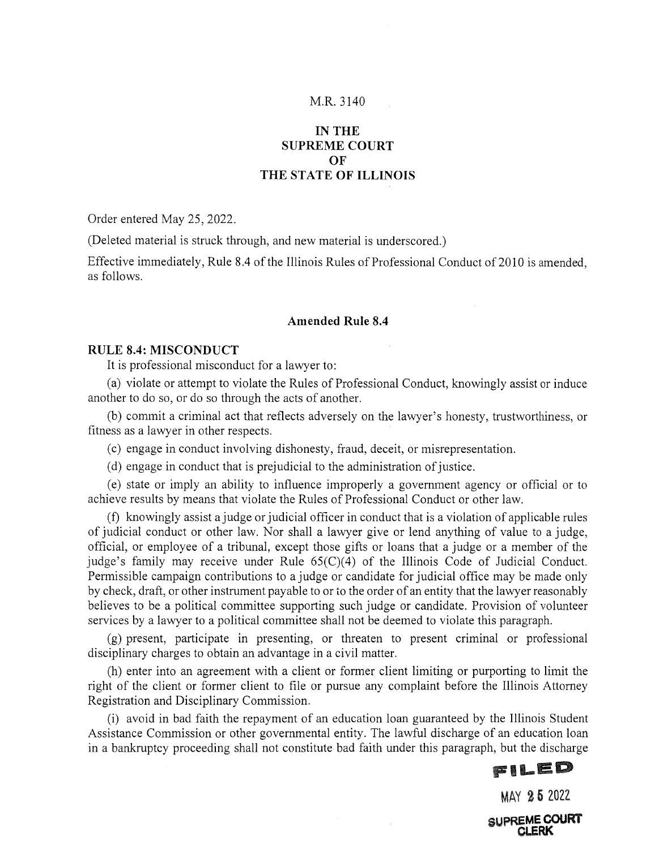### M.R. 3140

# **IN THE SUPREME COURT OF THE STATE OF ILLINOIS**

Order entered May 25, 2022.

(Deleted material is struck through, and new material is underscored.)

Effective immediately, Rule 8 .4 of the Illinois Rules of Professional Conduct of 2010 is amended, as follows.

## **Amended Rule 8.4**

## **RULE 8.4: MISCONDUCT**

It is professional misconduct for a lawyer to:

(a) violate or attempt to violate the Rules of Professional Conduct, knowingly assist or induce another to do so, or do so through the acts of another.

(b) commit a criminal act that reflects adversely on the lawyer's honesty, trustworthiness, or fitness as a lawyer in other respects.

(c) engage in conduct involving dishonesty, fraud, deceit, or misrepresentation.

( d) engage in conduct that is prejudicial to the administration of justice.

(e) state or imply an ability to influence improperly a government agency or official or to achieve results by means that violate the Rules of Professional Conduct or other law.

(f) knowingly assist a judge or judicial officer in conduct that is a violation of applicable rules of judicial conduct or other law. Nor shall a lawyer give or lend anything of value to a judge, official, or employee of a tribunal, except those gifts or loans that a judge or a member of the judge's family may receive under Rule 65(C)(4) of the Illinois Code of Judicial Conduct. Permissible campaign contributions to a judge or candidate for judicial office may be made only by check, draft, or other instrument payable to or to the order of an entity that the lawyer reasonably believes to be a political committee supporting such judge or candidate. Provision of volunteer services by a lawyer to a political committee shall not be deemed to violate this paragraph.

(g) present, participate in presenting, or threaten to present criminal or professional disciplinary charges to obtain an advantage in a civil matter.

(h) enter into an agreement with a client or former client limiting or purporting to limit the right of the client or former client to file or pursue any complaint before the Illinois Attorney Registration and Disciplinary Commission.

(i) avoid in bad faith the repayment of an education loan guaranteed by the Illinois Student Assistance Commission or other governmental entity. The lawful discharge of an education loan in a bankruptcy proceeding shall not constitute bad faith under this paragraph, but the discharge

FILED

MAY 2 6 2022

**SUPREME COURT CLERK**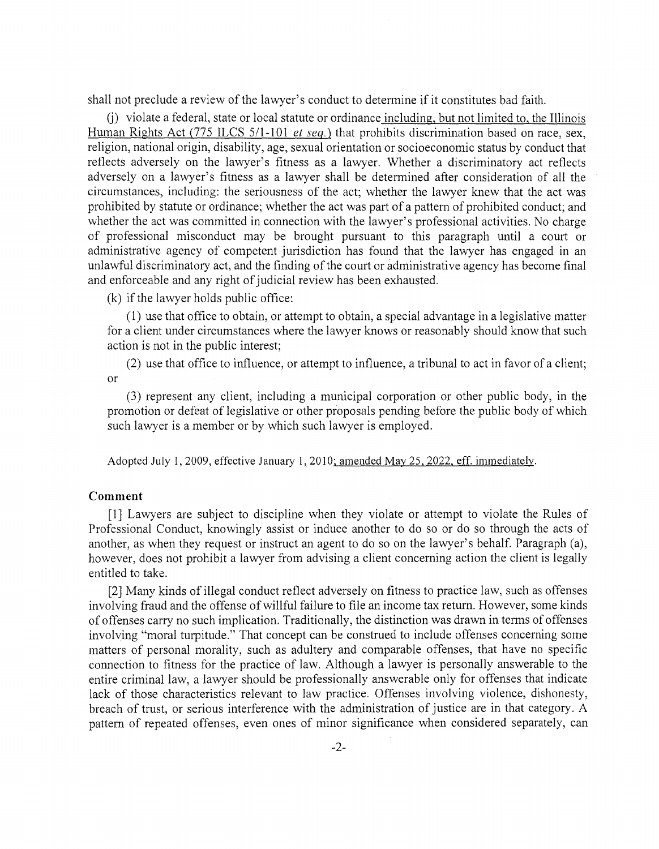shall not preclude a review of the lawyer's conduct to determine if it constitutes bad faith.

(i) violate a federal, state or local statute or ordinance including, but not limited to, the Illinois Human Rights Act (775 ILCS 5/1-101 *et seq.*) that prohibits discrimination based on race, sex, religion, national origin, disability, age, sexual orientation or socioeconomic status by conduct that reflects adversely on the lawyer's fitness as a lawyer. Whether a discriminatory act reflects adversely on a lawyer's fitness as a lawyer shall be determined after consideration of all the circumstances, including: the seriousness of the act; whether the lawyer knew that the act was prohibited by statute or ordinance; whether the act was part of a pattern of prohibited conduct; and whether the act was committed in connection with the lawyer's professional activities. No charge of professional misconduct may be brought pursuant to this paragraph until a court or administrative agency of competent jurisdiction has found that the lawyer has engaged in an unlawful discriminatory act, and the finding of the court or administrative agency has become final and enforceable and any right of judicial review has been exhausted.

(k) if the lawyer holds public office:

(1) use that office to obtain, or attempt to obtain, a special advantage in a legislative matter for a client under circumstances where the lawyer knows or reasonably should know that such action is not in the public interest;

(2) use that office to influence, or attempt to influence, a tribunal to act in favor of a client; or

(3) represent any client, including a municipal corporation or other public body, in the promotion or defeat of legislative or other proposals pending before the public body of which such lawyer is a member or by which such lawyer is employed.

Adopted July 1, 2009, effective January 1, 2010; amended May 25, 2022, eff. immediately.

#### **Comment**

[1] Lawyers are subject to discipline when they violate or attempt to violate the Rules of Professional Conduct, knowingly assist or induce another to do so or do so through the acts of another, as when they request or instruct an agent to do so on the lawyer's behalf. Paragraph (a), however, does not prohibit a lawyer from advising a client concerning action the client is legally entitled to take.

[2] Many kinds of illegal conduct reflect adversely on fitness to practice law, such as offenses involving fraud and the offense of willful failure to file an income tax return. However, some kinds of offenses carry no such implication. Traditionally, the distinction was drawn in terms of offenses involving "moral turpitude." That concept can be construed to include offenses concerning some matters of personal morality, such as adultery and comparable offenses, that have no specific connection to fitness for the practice of law. Although a lawyer is personally answerable to the entire criminal law, a lawyer should be professionally answerable only for offenses that indicate lack of those characteristics relevant to law practice. Offenses involving violence, dishonesty, breach of trust, or serious interference with the administration of justice are in that category. A pattern of repeated offenses, even ones of minor significance when considered separately, can